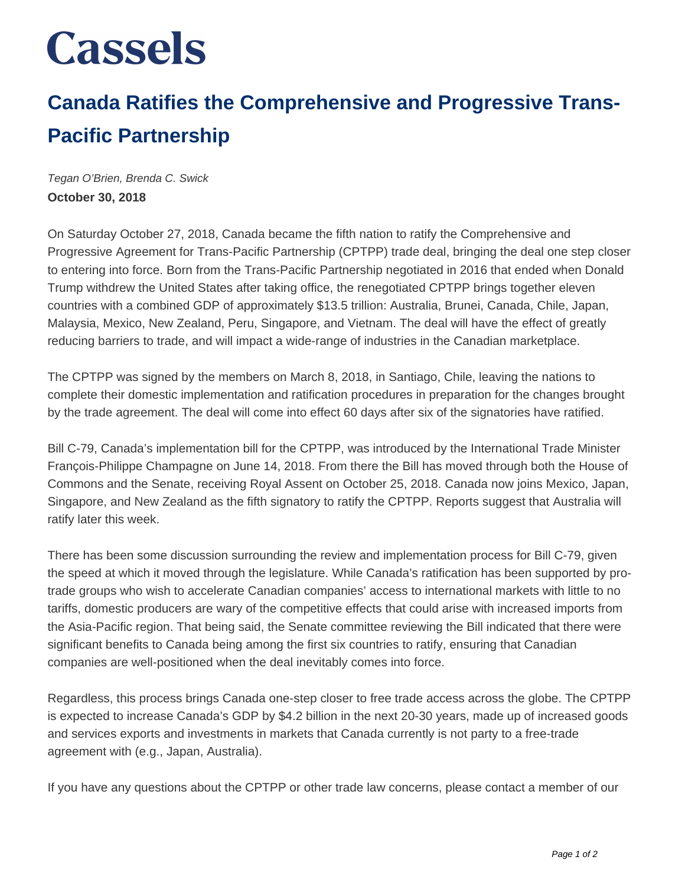## **Cassels**

## **Canada Ratifies the Comprehensive and Progressive Trans-Pacific Partnership**

Tegan O'Brien, Brenda C. Swick **October 30, 2018**

On Saturday October 27, 2018, Canada became the fifth nation to ratify the Comprehensive and Progressive Agreement for Trans-Pacific Partnership (CPTPP) trade deal, bringing the deal one step closer to entering into force. Born from the Trans-Pacific Partnership negotiated in 2016 that ended when Donald Trump withdrew the United States after taking office, the renegotiated CPTPP brings together eleven countries with a combined GDP of approximately \$13.5 trillion: Australia, Brunei, Canada, Chile, Japan, Malaysia, Mexico, New Zealand, Peru, Singapore, and Vietnam. The deal will have the effect of greatly reducing barriers to trade, and will impact a wide-range of industries in the Canadian marketplace.

The CPTPP was signed by the members on March 8, 2018, in Santiago, Chile, leaving the nations to complete their domestic implementation and ratification procedures in preparation for the changes brought by the trade agreement. The deal will come into effect 60 days after six of the signatories have ratified.

Bill C-79, Canada's implementation bill for the CPTPP, was introduced by the International Trade Minister François-Philippe Champagne on June 14, 2018. From there the Bill has moved through both the House of Commons and the Senate, receiving Royal Assent on October 25, 2018. Canada now joins Mexico, Japan, Singapore, and New Zealand as the fifth signatory to ratify the CPTPP. Reports suggest that Australia will ratify later this week.

There has been some discussion surrounding the review and implementation process for Bill C-79, given the speed at which it moved through the legislature. While Canada's ratification has been supported by protrade groups who wish to accelerate Canadian companies' access to international markets with little to no tariffs, domestic producers are wary of the competitive effects that could arise with increased imports from the Asia-Pacific region. That being said, the Senate committee reviewing the Bill indicated that there were significant benefits to Canada being among the first six countries to ratify, ensuring that Canadian companies are well-positioned when the deal inevitably comes into force.

Regardless, this process brings Canada one-step closer to free trade access across the globe. The CPTPP is expected to increase Canada's GDP by \$4.2 billion in the next 20-30 years, made up of increased goods and services exports and investments in markets that Canada currently is not party to a free-trade agreement with (e.g., Japan, Australia).

If you have any questions about the CPTPP or other trade law concerns, please contact a member of our